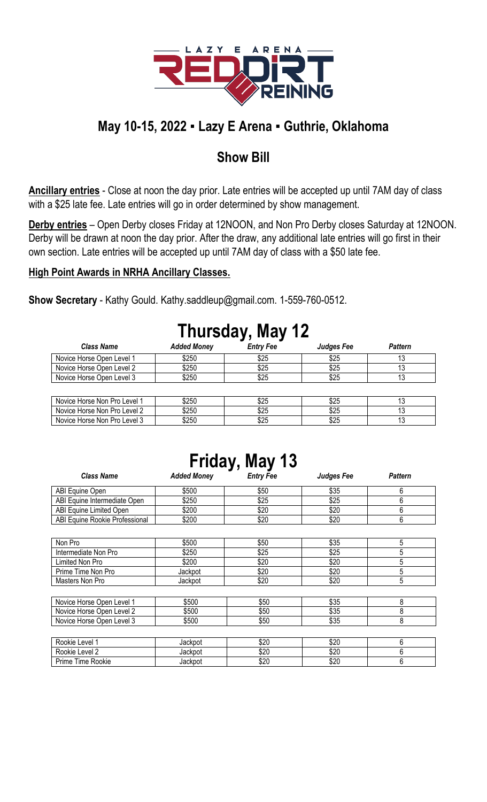

## **May 10-15, 2022 ▪ Lazy E Arena ▪ Guthrie, Oklahoma**

### **Show Bill**

**Ancillary entries** - Close at noon the day prior. Late entries will be accepted up until 7AM day of class with a \$25 late fee. Late entries will go in order determined by show management.

**Derby entries** – Open Derby closes Friday at 12NOON, and Non Pro Derby closes Saturday at 12NOON. Derby will be drawn at noon the day prior. After the draw, any additional late entries will go first in their own section. Late entries will be accepted up until 7AM day of class with a \$50 late fee.

#### **High Point Awards in NRHA Ancillary Classes.**

**Show Secretary** - Kathy Gould. Kathy.saddleup@gmail.com. 1-559-760-0512.

| Thursday, May 12             |                    |                  |                   |                |  |  |
|------------------------------|--------------------|------------------|-------------------|----------------|--|--|
| <b>Class Name</b>            | <b>Added Money</b> | <b>Entry Fee</b> | <b>Judges Fee</b> | <b>Pattern</b> |  |  |
| Novice Horse Open Level 1    | \$250              | \$25             | \$25              | 13             |  |  |
| Novice Horse Open Level 2    | \$250              | \$25             | \$25              | 13             |  |  |
| Novice Horse Open Level 3    | \$250              | \$25             | \$25              | 13             |  |  |
|                              |                    |                  |                   |                |  |  |
| Novice Horse Non Pro Level 1 | \$250              | \$25             | \$25              |                |  |  |
| Novice Horse Non Pro Level 2 | \$250              | \$25             | \$25              | 13             |  |  |

## **Thursday, May 12**

| Friday, May 13 |
|----------------|
|----------------|

Novice Horse Non Pro Level 3 \$250 \$250 \$25 \$25 \$25 \$25 \$25

| <b>Class Name</b>              | <b>Added Money</b> | . .<br><b>Entry Fee</b> | <b>Judges Fee</b> | <b>Pattern</b> |
|--------------------------------|--------------------|-------------------------|-------------------|----------------|
| ABI Equine Open                | \$500              | \$50                    | \$35              | 6              |
| ABI Equine Intermediate Open   | \$250              | \$25                    | \$25              | 6              |
| ABI Equine Limited Open        | \$200              | \$20                    | \$20              | 6              |
| ABI Equine Rookie Professional | \$200              | \$20                    | \$20              | 6              |
|                                |                    |                         |                   |                |
| Non Pro                        | \$500              | \$50                    | \$35              | 5              |
| Intermediate Non Pro           | \$250              | \$25                    | \$25              | 5              |
| Limited Non Pro                | \$200              | \$20                    | \$20              | 5              |
| Prime Time Non Pro             | Jackpot            | \$20                    | \$20              | 5              |
| Masters Non Pro                | Jackpot            | \$20                    | \$20              | 5              |
|                                |                    |                         |                   |                |
| Novice Horse Open Level 1      | \$500              | \$50                    | \$35              | 8              |
| Novice Horse Open Level 2      | \$500              | \$50                    | \$35              | 8              |
| Novice Horse Open Level 3      | \$500              | \$50                    | \$35              | 8              |
|                                |                    |                         |                   |                |
| Rookie Level 1                 | Jackpot            | \$20                    | \$20              | 6              |
| Rookie Level 2                 | Jackpot            | \$20                    | \$20              | 6              |
| Prime Time Rookie              | Jackpot            | \$20                    | \$20              | 6              |